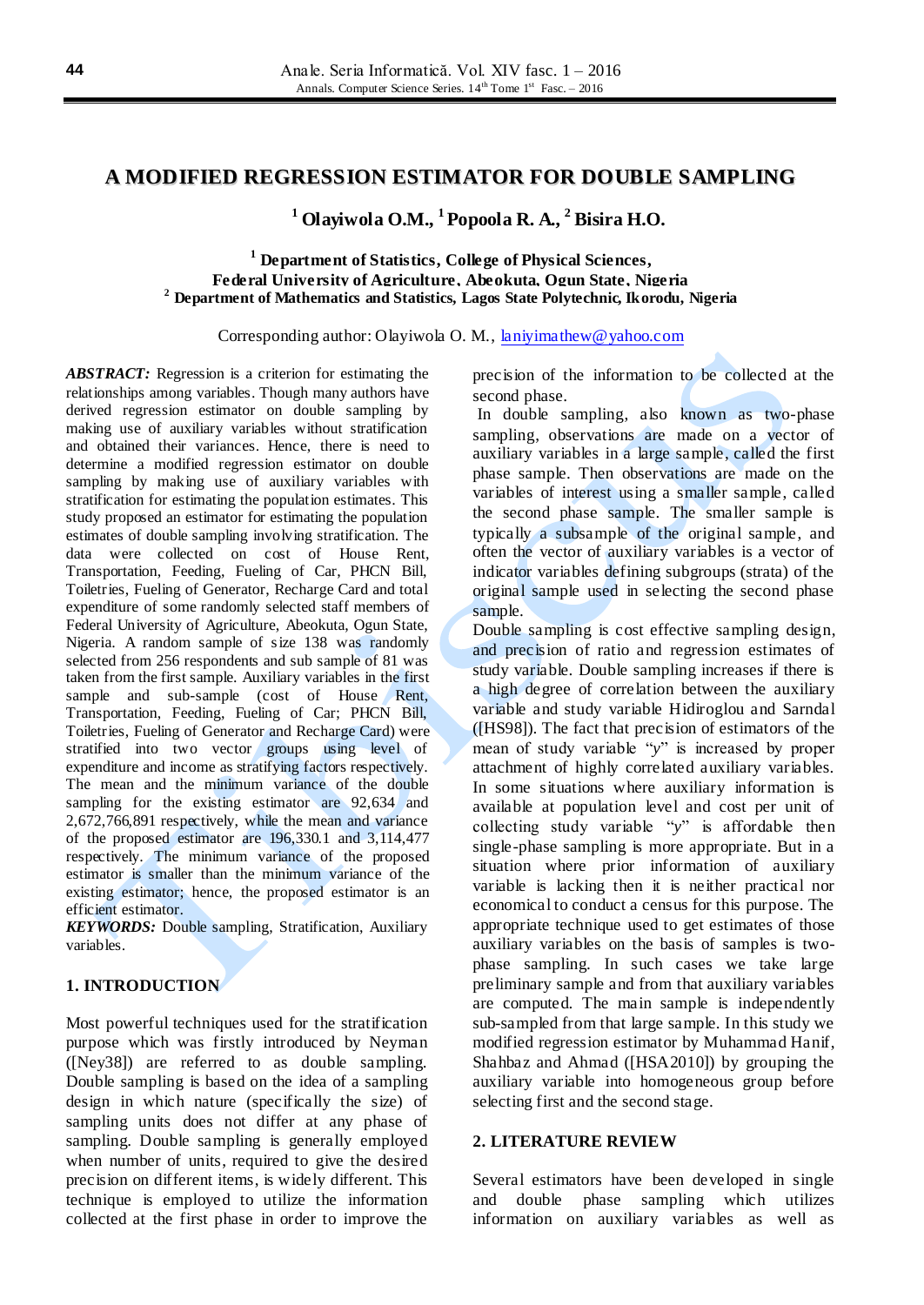## **A MODIFIED REGRESSION ESTIMATOR FOR DOUBLE SAMPLING**

**<sup>1</sup> Olayiwola O.M., <sup>1</sup> Popoola R. A., <sup>2</sup> Bisira H.O.**

### **<sup>1</sup> Department of Statistics, College of Physical Sciences, Federal University of Agriculture, Abeokuta, Ogun State, Nigeria <sup>2</sup> Department of Mathematics and Statistics, Lagos State Polytechnic, Ikorodu, Nigeria**

Corresponding author: Olayiwola O. M., [laniyimathew@yahoo.com](mailto:laniyimathew@yahoo.com)

*ABSTRACT:* Regression is a criterion for estimating the relationships among variables. Though many authors have derived regression estimator on double sampling by making use of auxiliary variables without stratification and obtained their variances. Hence, there is need to determine a modified regression estimator on double sampling by making use of auxiliary variables with stratification for estimating the population estimates. This study proposed an estimator for estimating the population estimates of double sampling involving stratification. The data were collected on cost of House Rent, Transportation, Feeding, Fueling of Car, PHCN Bill, Toiletries, Fueling of Generator, Recharge Card and total expenditure of some randomly selected staff members of Federal University of Agriculture, Abeokuta, Ogun State, Nigeria. A random sample of size 138 was randomly selected from 256 respondents and sub sample of 81 was taken from the first sample. Auxiliary variables in the first sample and sub-sample (cost of House Rent, Transportation, Feeding, Fueling of Car; PHCN Bill, Toiletries, Fueling of Generator and Recharge Card) were stratified into two vector groups using level of expenditure and income as stratifying factors respectively. The mean and the minimum variance of the double sampling for the existing estimator are 92,634 and 2,672,766,891 respectively, while the mean and variance of the proposed estimator are 196,330.1 and 3,114,477 respectively. The minimum variance of the proposed estimator is smaller than the minimum variance of the existing estimator; hence, the proposed estimator is an efficient estimator.

*KEYWORDS:* Double sampling, Stratification, Auxiliary variables.

# **1. INTRODUCTION**

Most powerful techniques used for the stratification purpose which was firstly introduced by Neyman ([Ney38]) are referred to as double sampling. Double sampling is based on the idea of a sampling design in which nature (specifically the size) of sampling units does not differ at any phase of sampling. Double sampling is generally employed when number of units, required to give the desired precision on different items, is widely different. This technique is employed to utilize the information collected at the first phase in order to improve the

precision of the information to be collected at the second phase.

In double sampling, also known as two-phase sampling, observations are made on a vector of auxiliary variables in a large sample, called the first phase sample. Then observations are made on the variables of interest using a smaller sample, called the second phase sample. The smaller sample is typically a subsample of the original sample, and often the vector of auxiliary variables is a vector of indicator variables defining subgroups (strata) of the original sample used in selecting the second phase sample.

Double sampling is cost effective sampling design, and precision of ratio and regression estimates of study variable. Double sampling increases if there is a high degree of correlation between the auxiliary variable and study variable Hidiroglou and Sarndal ([HS98]). The fact that precision of estimators of the mean of study variable "*y*" is increased by proper attachment of highly correlated auxiliary variables. In some situations where auxiliary information is available at population level and cost per unit of collecting study variable "*y*" is affordable then single-phase sampling is more appropriate. But in a situation where prior information of auxiliary variable is lacking then it is neither practical nor economical to conduct a census for this purpose. The appropriate technique used to get estimates of those auxiliary variables on the basis of samples is twophase sampling. In such cases we take large preliminary sample and from that auxiliary variables are computed. The main sample is independently sub-sampled from that large sample. In this study we modified regression estimator by Muhammad Hanif, Shahbaz and Ahmad ([HSA2010]) by grouping the auxiliary variable into homogeneous group before selecting first and the second stage.

#### **2. LITERATURE REVIEW**

Several estimators have been developed in single and double phase sampling which utilizes information on auxiliary variables as well as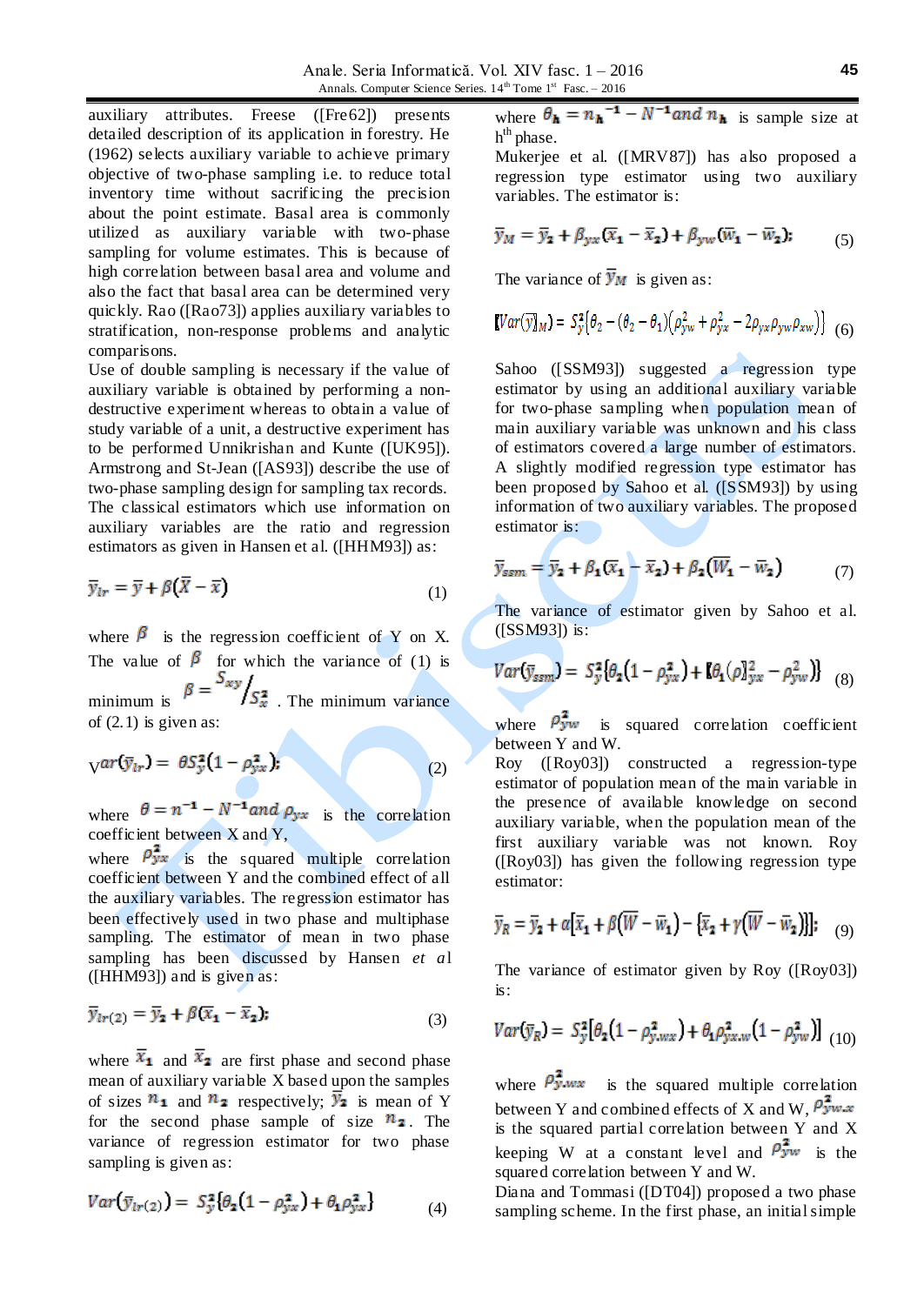auxiliary attributes. Freese ([Fre62]) presents detailed description of its application in forestry. He (1962) selects auxiliary variable to achieve primary objective of two-phase sampling i.e. to reduce total inventory time without sacrificing the precision about the point estimate. Basal area is commonly utilized as auxiliary variable with two-phase sampling for volume estimates. This is because of high correlation between basal area and volume and also the fact that basal area can be determined very quickly. Rao ([Rao73]) applies auxiliary variables to stratification, non-response problems and analytic comparisons.

Use of double sampling is necessary if the value of auxiliary variable is obtained by performing a nondestructive experiment whereas to obtain a value of study variable of a unit, a destructive experiment has to be performed Unnikrishan and Kunte ([UK95]). Armstrong and St-Jean ([AS93]) describe the use of two-phase sampling design for sampling tax records. The classical estimators which use information on auxiliary variables are the ratio and regression estimators as given in Hansen et al. ([HHM93]) as:

$$
\overline{y}_{lr} = \overline{y} + \beta(\overline{X} - \overline{x}) \tag{1}
$$

where  $\beta$  is the regression coefficient of Y on X. The value of  $\beta$  for which the variance of (1) is minimum is  $\beta = \frac{S_{xy}}{S_x^2}$ . The minimum variance of  $(2.1)$  is given as:

$$
\mathbf{v}ar(\bar{\mathbf{y}}_{lr}) = \theta S_y^2 (1 - \rho_{yx}^2); \tag{2}
$$

where  $\theta = n^{-1} - N^{-1}$  and  $\rho_{yx}$  is the correlation coefficient between  $X$  and  $Y$ ,

where  $\rho_{yx}^2$  is the squared multiple correlation coefficient between Y and the combined effect of all the auxiliary variables. The regression estimator has been effectively used in two phase and multiphase sampling. The estimator of mean in two phase sampling has been discussed by Hansen *et a*l ([HHM93]) and is given as:

$$
\overline{y}_{lr(2)} = \overline{y}_2 + \beta(\overline{x}_1 - \overline{x}_2); \tag{3}
$$

where  $\bar{x}_1$  and  $\bar{x}_2$  are first phase and second phase mean of auxiliary variable X based upon the samples of sizes  $n_1$  and  $n_2$  respectively;  $\overline{y}_2$  is mean of Y for the second phase sample of size  $\mathbb{n}_2$ . The variance of regression estimator for two phase sampling is given as:

$$
Var(\bar{y}_{lr(2)}) = S_y^2 \{ \theta_2 (1 - \rho_{yx}^2) + \theta_1 \rho_{yx}^2 \}
$$
 (4)

where  $\theta_{\bf h} = n_{\bf h}^{-1} - N^{-1}$  and  $n_{\bf h}$  is sample size at h<sup>th</sup> phase.

Mukerjee et al. ([MRV87]) has also proposed a regression type estimator using two auxiliary variables. The estimator is:

$$
\overline{y}_M = \overline{y}_2 + \beta_{yx} (\overline{x}_1 - \overline{x}_2) + \beta_{yw} (\overline{w}_1 - \overline{w}_2); \tag{5}
$$

The variance of  $\overline{y}_M$  is given as:

$$
[Var(\overline{y}]_M) = S_y^2 [\theta_2 - (\theta_2 - \theta_1)(\rho_{yw}^2 + \rho_{yx}^2 - 2\rho_{yx}\rho_{yw}\rho_{xw})] \quad (6)
$$

Sahoo ([SSM93]) suggested a regression type estimator by using an additional auxiliary variable for two-phase sampling when population mean of main auxiliary variable was unknown and his class of estimators covered a large number of estimators. A slightly modified regression type estimator has been proposed by Sahoo et al. ([SSM93]) by using information of two auxiliary variables. The proposed estimator is:

$$
\overline{y}_{ssm} = \overline{y}_2 + \beta_1 (\overline{x}_1 - \overline{x}_2) + \beta_2 (\overline{W}_1 - \overline{w}_2) \tag{7}
$$

The variance of estimator given by Sahoo et al. ([SSM93]) is:

$$
Var(\overline{y}_{ssm}) = S_y^2 \{\theta_2 (1 - \rho_{yx}^2) + \beta_1 (\rho_{xy}^2 - \rho_{yw}^2) \} (8)
$$

where  $\rho_{yw}^2$  is squared correlation coefficient between Y and W.

Roy ([Roy03]) constructed a regression-type estimator of population mean of the main variable in the presence of available knowledge on second auxiliary variable, when the population mean of the first auxiliary variable was not known. Roy ([Roy03]) has given the following regression type estimator:

$$
\overline{y}_R = \overline{y}_2 + \alpha [\overline{x}_1 + \beta (\overline{W} - \overline{w}_1) - {\overline{x}_2 + \gamma (\overline{W} - \overline{w}_2)}];
$$
 (9)

The variance of estimator given by Roy ([Roy03]) is:

$$
Var(\bar{y}_R) = S_y^2 [\theta_2 (1 - \rho_{y,wx}^2) + \theta_1 \rho_{yx,w}^2 (1 - \rho_{yw}^2)]_{(10)}
$$

where  $\rho_{y,wx}^{2}$  is the squared multiple correlation between Y and combined effects of X and W,  $\rho_{yw.x}^2$ is the squared partial correlation between Y and X keeping W at a constant level and  $\rho_{yw}^2$  is the squared correlation between Y and W.

Diana and Tommasi ([DT04]) proposed a two phase sampling scheme. In the first phase, an initial simple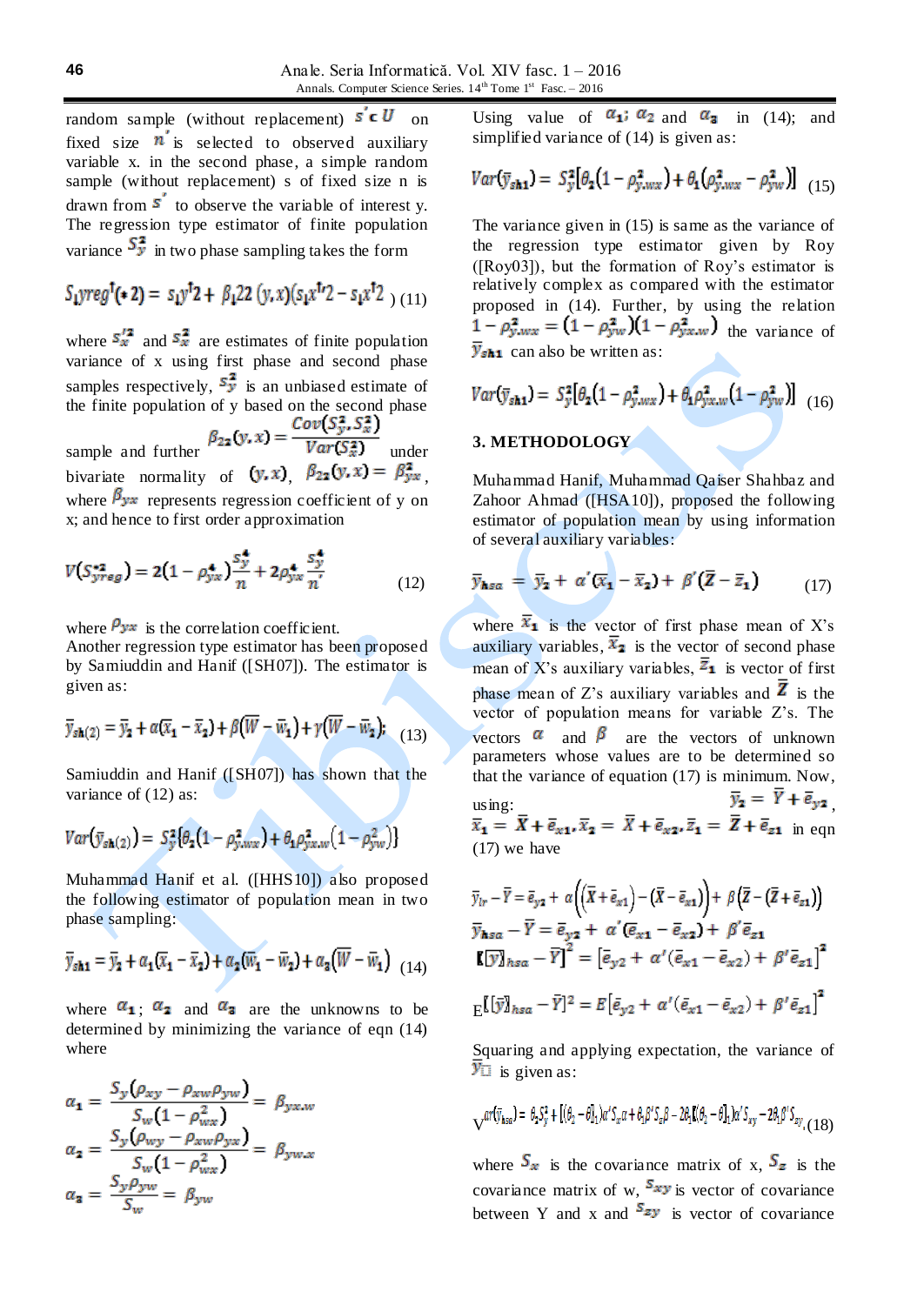random sample (without replacement)  $s' \in U$  on fixed size  $\vec{n}$  is selected to observed auxiliary variable x. in the second phase, a simple random sample (without replacement) s of fixed size n is drawn from  $s'$  to observe the variable of interest y. The regression type estimator of finite population variance  $S_{\nu}^2$  in two phase sampling takes the form

$$
S_1 \text{yreg}^{\dagger}(*2) = s_1 \text{y}^{\dagger}2 + \beta_1 22 \; (\text{y}, \text{x})(s_1 \text{x}^{\dagger}2 - s_1 \text{x}^{\dagger}2 \;) \; (11)
$$

where  $S_x^2$  and  $S_x^2$  are estimates of finite population variance of x using first phase and second phase samples respectively,  $S_{y}^{2}$  is an unbiased estimate of the finite population of y based on the second phase sample and further  $\beta_{22}(y, x) = \frac{Cov(S_y^2, S_x^2)}{Var(S_x^2)}$  under

bivariate normality of  $(y, x)$ ,  $\beta_{22}(y, x) = \beta_{yx}^2$ where  $\beta_{yx}$  represents regression coefficient of y on x; and hence to first order approximation

$$
V(S_{yreg}^{*2}) = 2(1 - \rho_{yx}^4) \frac{s_y^4}{n} + 2\rho_{yx}^4 \frac{s_y^4}{n'}
$$
 (12)

where  $\rho_{yx}$  is the correlation coefficient.

Another regression type estimator has been proposed by Samiuddin and Hanif ([SH07]). The estimator is given as:

$$
\overline{y}_{s\mathbf{h}(2)} = \overline{y}_{\mathbf{2}} + \alpha(\overline{x}_{\mathbf{1}} - \overline{x}_{\mathbf{2}}) + \beta(\overline{W} - \overline{w}_{\mathbf{1}}) + \gamma(\overline{W} - \overline{w}_{\mathbf{2}}); \quad (13)
$$

Samiuddin and Hanif ([SH07]) has shown that the variance of  $(12)$  as:

$$
Var(\bar{y}_{sh(2)}) = S_{y}^{2} \{ \theta_{2} (1 - \rho_{y,wx}^{2}) + \theta_{1} \rho_{yx,w}^{2} (1 - \rho_{yw}^{2}) \}
$$

Muhammad Hanif et al. ([HHS10]) also proposed the following estimator of population mean in two phase sampling:

$$
\overline{y}_{s\mathbf{h1}} = \overline{y}_{\mathbf{2}} + \alpha_{\mathbf{1}} (\overline{x}_{\mathbf{1}} - \overline{x}_{\mathbf{2}}) + \alpha_{\mathbf{2}} (\overline{w}_{\mathbf{1}} - \overline{w}_{\mathbf{2}}) + \alpha_{\mathbf{3}} (\overline{W} - \overline{w}_{\mathbf{1}})_{(14)}
$$

where  $\alpha_1$ ;  $\alpha_2$  and  $\alpha_3$  are the unknowns to be determined by minimizing the variance of eqn (14) where

$$
\alpha_{1} = \frac{S_{y}(\rho_{xy} - \rho_{xw}\rho_{yw})}{S_{w}(1 - \rho_{wx}^{2})} = \beta_{yx,w}
$$

$$
\alpha_{2} = \frac{S_{y}(\rho_{wy} - \rho_{xw}\rho_{yx})}{S_{w}(1 - \rho_{wx}^{2})} = \beta_{yw,x}
$$

$$
\alpha_{3} = \frac{S_{y}\rho_{yw}}{S_{w}} = \beta_{yw}
$$

Using value of  $\alpha_1$ ;  $\alpha_2$  and  $\alpha_3$  in (14); and simplified variance of  $(14)$  is given as:

$$
Var(\bar{y}_{sh1}) = S_y^2 [\theta_2 (1 - \rho_{y,wx}^2) + \theta_1 (\rho_{y,wx}^2 - \rho_{yw}^2)] \quad (15)
$$

The variance given in (15) is same as the variance of the regression type estimator given by Roy  $([Row03])$ , but the formation of Roy's estimator is relatively complex as compared with the estimator proposed in (14). Further, by using the relation  $1 - \rho_{y,wx}^2 = (1 - \rho_{yw}^2)(1 - \rho_{yx,w}^2)$  the variance of  $\overline{y}_{\text{sh1}}$  can also be written as:

$$
Var(\bar{y}_{sh1}) = S_{y}^{2} [\theta_{2} (1 - \rho_{y,wx}^{2}) + \theta_{1} \rho_{yx,w}^{2} (1 - \rho_{yw}^{2})] \tag{16}
$$

# **3. METHODOLOGY**

**A** 

Muhammad Hanif, Muhammad Qaiser Shahbaz and Zahoor Ahmad ([HSA10]), proposed the following estimator of population mean by using information of several auxiliary variables:

$$
\overline{y}_{\text{hsa}} = \overline{y}_2 + \alpha'(\overline{x}_1 - \overline{x}_2) + \beta'(\overline{Z} - \overline{z}_1) \tag{17}
$$

x

where  $\overline{x}_1$  is the vector of first phase mean of X's auxiliary variables,  $\bar{x}_2$  is the vector of second phase mean of X's auxiliary variables,  $\overline{z}_1$  is vector of first phase mean of Z's auxiliary variables and  $\overline{Z}$  is the vector of population means for variable Z's. The vectors  $\alpha$  and  $\beta$  are the vectors of unknown parameters whose values are to be determined so that the variance of equation (17) is minimum. Now,

using:  $y_2 = r + e_{y2}$ , in eqn (17) we have

$$
\overline{y}_{lr} - \overline{Y} = \overline{e}_{y2} + \alpha \Big( \overline{X} + \overline{e}_{x1} \Big) - \Big( \overline{X} - \overline{e}_{x1} \Big) \Big) + \beta \Big( \overline{Z} - \Big( \overline{Z} + \overline{e}_{z1} \Big) \Big)
$$
\n
$$
\overline{y}_{\mathbf{h}sa} - \overline{Y} = \overline{e}_{y2} + \alpha' \Big( \overline{e}_{x1} - \overline{e}_{x2} \Big) + \beta' \overline{e}_{z1}
$$
\n
$$
\mathbf{E}[\overline{y}]_{hsa} - \overline{Y} \Big]^2 = \Big[ \overline{e}_{y2} + \alpha' \Big( \overline{e}_{x1} - \overline{e}_{x2} \Big) + \beta' \overline{e}_{z1} \Big]^2
$$
\n
$$
\mathbf{E}[\overline{y}]_{hsa} - \overline{Y}]^2 = E \Big[ \overline{e}_{y2} + \alpha' \Big( \overline{e}_{x1} - \overline{e}_{x2} \Big) + \beta' \overline{e}_{z1} \Big]^2
$$

Squaring and applying expectation, the variance of 
$$
\overline{y}_{\square}
$$
 is given as:

$$
\nabla^{\alpha r\left(\overline{y}_{hsa}\right)=\theta_2S_y^2+\left[(\theta_2-\theta]_1\right)\alpha^{\prime}S_x\alpha+\theta_1\beta^{\prime}S_z\beta-2\theta_1\mathbf{I}(\theta_2-\theta]_1)\alpha^{\prime}S_{xy}-2\theta_1\beta^{\prime}S_{zy}\right.\\ \left.\left.\left(1\,8\right)
$$

where  $S_x$  is the covariance matrix of x,  $S_z$  is the covariance matrix of w,  $S_{xy}$  is vector of covariance between Y and x and  $s_{zy}$  is vector of covariance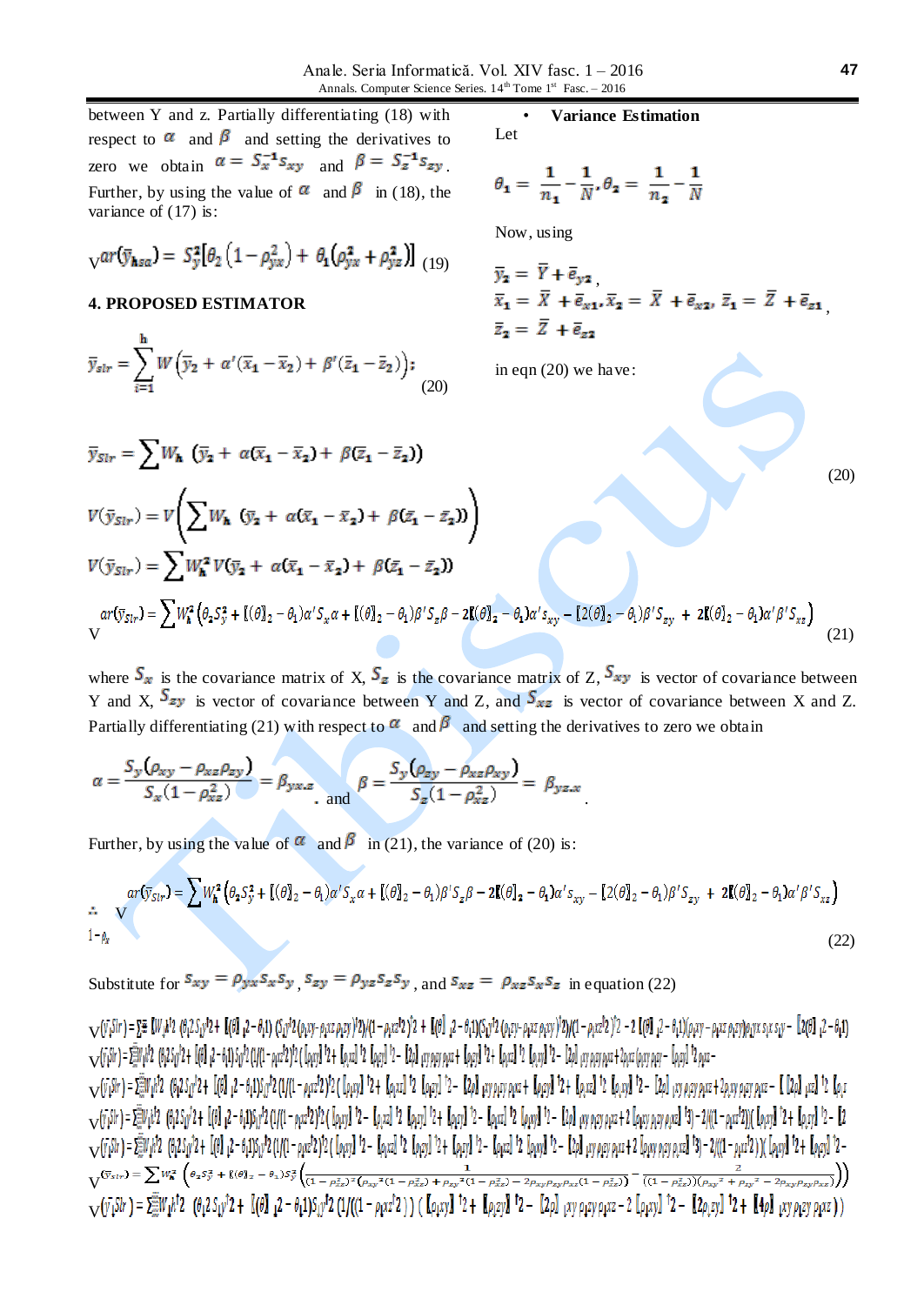between Y and z. Partially differentiating (18) with respect to  $\alpha$  and  $\beta$  and setting the derivatives to zero we obtain  $\alpha = S_x^{-1} s_{xy}$  and  $\beta = S_z^{-1} s_{zy}$ Further, by using the value of  $\alpha$  and  $\beta$  in (18), the variance of  $(17)$  is:

$$
\sqrt{ar(\bar{y}_{\mathbf{h}sa})} = S_y^2 [\theta_2 (1 - \rho_{yx}^2) + \theta_1 (\rho_{yx}^2 + \rho_{yz}^2)]_{(19)}
$$

### **4. PROPOSED ESTIMATOR**

$$
\overline{y}_{slr} = \sum_{i=1}^{n} W\left(\overline{y}_2 + \alpha'(\overline{x}_1 - \overline{x}_2) + \beta'(\overline{z}_1 - \overline{z}_2)\right);
$$
\n(20)

 $\overline{y}_{Str} = \sum W_{\pmb{h}}~\left(\overline{y}_{\pmb{2}} ~+~ \alpha (\overline{x}_{\pmb{1}} ~-~ \overline{x}_{\pmb{2}}) + ~\beta (\overline{z}_{\pmb{1}} ~-~ \overline{z}_{\pmb{2}}) \right)$ 

• **Variance Estimation** Let

$$
\theta_1 = \frac{1}{n_1} - \frac{1}{N}, \theta_2 = \frac{1}{n_2} - \frac{1}{N}
$$

Now, using

$$
\overline{y}_2 = \overline{Y} + \overline{e}_{y2},
$$
\n
$$
\overline{x}_1 = \overline{X} + \overline{e}_{x1}, \overline{x}_2 = \overline{X} + \overline{e}_{x2}, \overline{z}_1 = \overline{Z} + \overline{e}_{z1},
$$
\n
$$
\overline{z}_2 = \overline{Z} + \overline{e}_{z2}
$$

in eqn (20) we have:

$$
(20)
$$

(20)  
\n
$$
V(\bar{y}_{Slr}) = V \left( \sum W_{h} (\bar{y}_{2} + \alpha(\bar{x}_{1} - \bar{x}_{2}) + \beta(\bar{z}_{1} - \bar{z}_{2})) \right)
$$
\n
$$
V(\bar{y}_{Slr}) = \sum W_{h}^{2} V(\bar{y}_{2} + \alpha(\bar{x}_{1} - \bar{x}_{2}) + \beta(\bar{z}_{1} - \bar{z}_{2}))
$$
\n
$$
\alpha r(\bar{y}_{Slr}) = \sum W_{h}^{2} (\theta_{2} S_{y}^{2} + [(\theta]_{2} - \theta_{1})\alpha' S_{x}\alpha + [(\theta]_{2} - \theta_{1})\beta' S_{z}\beta - 2[(\theta]_{2} - \theta_{1})\alpha' S_{xy} - [2(\theta]_{2} - \theta_{1})\beta' S_{zy} + 2[(\theta]_{2} - \theta_{1})\alpha'\beta' S_{xz})
$$
\n
$$
V \tag{21}
$$

where  $S_x$  is the covariance matrix of X,  $S_z$  is the covariance matrix of Z,  $S_{xy}$  is vector of covariance between Y and X,  $S_{zy}$  is vector of covariance between Y and Z, and  $S_{xz}$  is vector of covariance between X and Z. Partially differentiating (21) with respect to  $\alpha$  and  $\beta$  and setting the derivatives to zero we obtain

$$
\alpha = \frac{S_y(\rho_{xy} - \rho_{xz}\rho_{zy})}{S_x(1-\rho_{xz}^2)} = \beta_{yx.z}
$$
 and 
$$
\beta = \frac{S_y(\rho_{zy} - \rho_{xz}\rho_{xy})}{S_z(1-\rho_{xz}^2)} = \beta_{yz.x}
$$

Further, by using the value of  $\alpha$  and  $\beta$  in (21), the variance of (20) is:

$$
ar(\bar{y}_{Str}) = \sum W_{h}^{2} \left( \theta_{2} S_{y}^{2} + \left[ (\theta_{2}^{2} - \theta_{1}) \alpha' S_{x} \alpha + \left[ (\theta_{2}^{2} - \theta_{1}) \beta' S_{z} \beta - 2 \mathbf{I} (\theta_{2}^{2} - \theta_{1}) \alpha' S_{xy} - \left[ 2 (\theta_{2}^{2} - \theta_{1}) \beta' S_{zy} + 2 \mathbf{I} (\theta_{2}^{2} - \theta_{1}) \alpha' \beta' S_{xz} \right] \right) \tag{22}
$$

Substitute for  $S_{xy} = \rho_{yx} S_x S_y$ ,  $S_{zy} = \rho_{yz} S_z S_y$ , and  $S_{xz} = \rho_{xz} S_x S_z$  in equation (22)

 $\mathbf{V}(V_1S_1r) = \Sigma \equiv [W_1h^12 (\theta_1 2S_1v^12 + [(\theta_1 2 - \theta_1 1)(S_1v^12 (\rho_1x) - \rho_2xz \rho_2y)]^2)/((1 - \rho_1xz^12)^12 + [(\theta_1 2 - \theta_1 1)(S_1v^12 (\rho_1zx - \rho_1xz \rho_2y)]^2)/((1 - \rho_1xz^12)^12 - 2[(\theta_1 2 - \theta_1 1)(\rho_1xy - \rho_1xz \rho_2y)\rho_1yz \rho_2yz \rho_2y)]^2]/((1 - \rho_1yz^12 \sqrt{(r_1r_2 + 2m_1r_1^2 + 6r_2r_1r_2^2 + 16r_1^2 + 6r_1r_2^2 + 6r_1r_2^2 + 2r_1r_2^2 + 6r_1r_2^2 + 6r_2r_2^2 + 6r_2r_2^2 + 6r_1r_2^2 + 6r_1r_2^2 + 6r_1r_2^2 + 6r_1r_2^2 + 6r_1r_2^2 + 6r_1r_2^2 + 6r_1r_2^2 + 6r_1r_2^2 + 6r_1r_2^2 + 6r_1r_2^2 +$ 

 $\sqrt{(y_1\sin y_1 + 2)}$  (0,2 Sir<sup>1</sup>2 + [(0) 12 - 0,1)Sir<sup>1</sup>2 (1/(1 - 0,xz<sup>1</sup>2)<sup>1</sup>2 ( [0,xy]<sup>1</sup>2 + [0,xz]<sup>1</sup>2 [0,zy]<sup>1</sup>2 - [20] xy 0,zy 0,xz + [0,xy]<sup>1</sup>2 + [0,xx]<sup>1</sup>2 [0,zy]<sup>1</sup>2 + [0,xx]<sup>1</sup>2 (0,2x]<sup>1</sup>2 (0,xy]<sup>1</sup>2 + [0,xx]<sup>1</sup>2 (0  $\sqrt{(r_1S(r_1-2))}(r_2S(r_2r_1+2))$   $(0.25r_1^2+100r_1^2-2.15r_1^2)(11-\rho_1x^2^2)^2$  ( $[\rho_1x_1]^22 - [\rho_1x_2]^2$   $[\rho_2x_2]^2$   $[2 - [\rho_1x_2]^2$   $[2 - [\rho_1x]^2]$   $[2 - [\rho_2x]^2]$   $[2 - [\rho_2x]^2]$   $[2 - [\rho_2x]^2]$   $[2 - [\rho_2x]^2]$   $[2 - [\rho_2x]^2]$   $[2 - [\rho_2x]^$  $\sqrt{(r_1S/r)} = \sum_{i=1}^{m} V_i h^2$  (0,2 S<sub>1</sub>y<sup>3</sup>) + [(0] 12 - 0,1)S1y<sup>3</sup>2(1/(1 - pxz<sup>2</sup>2)<sup>3</sup>2([pxy]<sup>1</sup>2 - [pxz]<sup>1</sup>2 [pxy]<sup>1</sup>2 + [pxy]<sup>1</sup>2 - [pxz]<sup>1</sup>2 - [pxz<sup>1</sup>]<sup>2</sup> - [pxz<sup>1</sup>]<sup>2</sup> - [pxz<sup>1</sup>]<sup>2</sup> - [pxz<sup>1</sup>]<sup>2</sup> - [pxz<sup>1</sup>]<sup>2</sup> + [px<sub>2</sub>  $\sqrt{\text{y}}_{5lr} \text{)} = \sum W_\text{h}^2 \left( \theta_2 S_y^2 + \left\{ (\theta)_2 - \theta_1 \right\} S_y^2 \left( \frac{1}{(1-\rho_{xx}^2)^2 \left( \rho_{xy}^2 (1-\rho_{xz}^2) + \rho_{xy}^2 (1-\rho_{xz}^2) - 2 \rho_{xy} \rho_{xy} \rho_{xz} (1-\rho_{xz}^2) \right)} - \frac{2}{\left( (1-\rho_{xx}^2) \right) \left( \rho_{xy}^2 + \rho_{xy}^2 - 2 \rho_{xy} \rho_{xy} \rho_{xz} \right)} \right) \label{eq:1}$  $\mathcal{L}_{\mathcal{N}}(\bar{y_1}S)r$  =  $\sum_{i=1}^{m}V_i\bar{h}^{\dagger}2$  ( $\theta_1 2S_i\bar{y}^{\dagger}2 + \left[\left(\theta\right)^{2} (2 - \theta_1 1)S_i\bar{y}^{\dagger}2 \left(1/((1 - \rho_1 x z^{\dagger} 2))\right)$  ( $\left[\rho_1 xy\right]^{\dagger}2 + \left[\rho_2 xy\right]^{\dagger}2 - \left[\left(2\rho\right)^{2} (2\gamma\rho_1 x z - 2) \left[\rho_1 xy\right]^{\dagger}2 - \left[\left(2\r$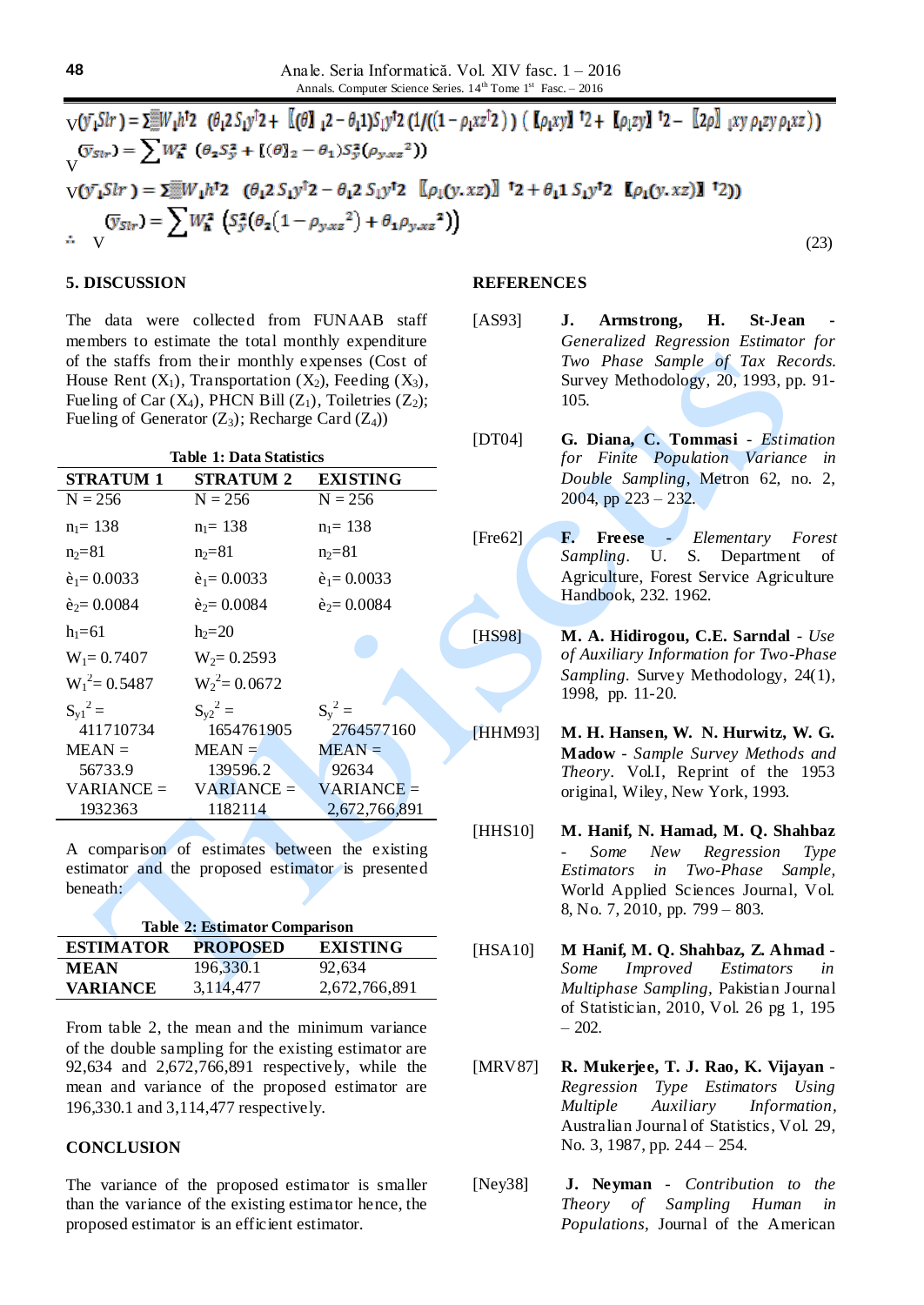$$
\nabla(\bar{y}_1 \bar{S}l\bar{r}) = \sum_{V} W_{1h}^{\dagger} \bar{z} \quad (\theta_1 2 S_{1f}^{\dagger})^{\dagger} 2 + \left[ (\theta_{11}^{\dagger}) S_{1f}^{\dagger} \bar{z} \right] \quad (1/((1 - \rho_1 x \bar{z}^{\dagger} 2)) \quad (\text{L} \rho_1 xy) \quad \bar{z} = \left[ 2 \rho \right] \quad (xy) \quad \rho_1 z y \rho_1 z y \rho_1 x z)
$$
\n
$$
\nabla(\bar{y}_1 \bar{S}l\bar{r}) = \sum_{V} W_{1h}^{\dagger} (\theta_2 S_{V}^{\dagger} + \left[ (\theta_{12}^{\dagger}) S_{1f}^{\dagger} \bar{z} - \theta_1 S_{V}^{\dagger} (\rho_{y \times z}^{\dagger} 2) \right]
$$
\n
$$
\nabla(\bar{y}_1 \bar{S}l\bar{r}) = \sum_{V} W_{1h}^{\dagger} \bar{z} \quad (\theta_1 2 S_{1f}^{\dagger} \bar{z} - \theta_1 2 S_{1f}^{\dagger} \bar{z} \quad \left[ (\rho_1 (\bar{y}, x \bar{z}) \right] \quad \bar{z} + \theta_1 1 S_{1f}^{\dagger} \bar{z} \quad \left[ (\rho_1 (\bar{y}, x \bar{z}) \right] \quad \bar{z})
$$
\n
$$
\nabla(\bar{y}_1 \bar{S}l\bar{r}) = \sum_{V} W_{1h}^{\dagger} (\bar{S}_{V}^{\dagger} (\theta_2 (1 - \rho_{y \times z}^{\dagger} 2) + \theta_1 \rho_{y \times z}^{\dagger} 2))
$$
\n
$$
(23)
$$

#### **5. DISCUSSION**

The data were collected from FUNAAB staff members to estimate the total monthly expenditure of the staffs from their monthly expenses (Cost of House Rent  $(X_1)$ , Transportation  $(X_2)$ , Feeding  $(X_3)$ , Fueling of Car  $(X_4)$ , PHCN Bill  $(Z_1)$ , Toiletries  $(Z_2)$ ; Fueling of Generator  $(Z_3)$ ; Recharge Card  $(Z_4)$ )

| <b>Table 1: Data Statistics</b> |                      |                      |
|---------------------------------|----------------------|----------------------|
| <b>STRATUM 1</b>                | <b>STRATUM 2</b>     | <b>EXISTING</b>      |
| $N = 256$                       | $N = 256$            | $N = 256$            |
| $n_1 = 138$                     | $n_1 = 138$          | $n_1 = 138$          |
| $n_2 = 81$                      | $n_2 = 81$           | $n_2 = 81$           |
| $\hat{e}_1 = 0.0033$            | $\hat{e}_1 = 0.0033$ | $\hat{e}_1 = 0.0033$ |
| $\hat{e}_2 = 0.0084$            | $\hat{e}_2 = 0.0084$ | $\hat{e}_2 = 0.0084$ |
| $h_1 = 61$                      | $h_2 = 20$           |                      |
| $W_1 = 0.7407$                  | $W_2 = 0.2593$       |                      |
| $W_1^2 = 0.5487$                | $W_2^2$ = 0.0672     |                      |
| $S_{\rm v1}{}^2$ =              | $S_{v2}{}^2 =$       | $S_v^2$ =            |
| 411710734                       | 1654761905           | 2764577160           |
| $MEAN =$                        | $MEAN =$             | $MEAN =$             |
| 56733.9                         | 139596.2             | 92634                |
| $VARIANCE =$                    | $VARIANCE =$         | $VARIANCE =$         |
| 1932363                         | 1182114              | 2,672,766,891        |

A comparison of estimates between the existing estimator and the proposed estimator is presented beneath:

| <b>Table 2: Estimator Comparison</b> |                 |                 |
|--------------------------------------|-----------------|-----------------|
| <b>ESTIMATOR</b>                     | <b>PROPOSED</b> | <b>EXISTING</b> |
| <b>MEAN</b>                          | 196,330.1       | 92,634          |
| <b>VARIANCE</b>                      | 3,114,477       | 2,672,766,891   |

From table 2, the mean and the minimum variance of the double sampling for the existing estimator are 92,634 and 2,672,766,891 respectively, while the mean and variance of the proposed estimator are 196,330.1 and 3,114,477 respectively.

#### **CONCLUSION**

The variance of the proposed estimator is smaller than the variance of the existing estimator hence, the proposed estimator is an efficient estimator.

### **REFERENCES**

- H.  $[AS93]$ J. Armstrong, **St-Jean** Generalized Regression Estimator for Two Phase Sample of Tax Records. Survey Methodology, 20, 1993, pp. 91-105.
- $[DT04]$ G. Diana, C. Tommasi - Estimation for Finite Population Variance in Double Sampling, Metron 62, no. 2,  $2004$ , pp  $223 - 232$ .
- F. Freese Elementary Forest  $[Fre62]$ Sampling. U. S. Department of Agriculture, Forest Service Agriculture Handbook, 232. 1962.
- [HS98] M. A. Hidirogou, C.E. Sarndal - Use of Auxiliary Information for Two-Phase Sampling. Survey Methodology, 24(1), 1998, pp. 11-20.
- [HHM93] M. H. Hansen, W. N. Hurwitz, W. G. Madow - Sample Survey Methods and Theory. Vol.I, Reprint of the 1953 original, Wiley, New York, 1993.
- [HHS10] M. Hanif, N. Hamad, M. Q. Shahbaz Some  $New$ Regression Type Estimators in Two-Phase Sample, World Applied Sciences Journal, Vol. 8, No. 7, 2010, pp. 799 - 803.
- [HSA10] M Hanif, M. Q. Shahbaz, Z. Ahmad -Some *Improved Estimators* in Multiphase Sampling, Pakistian Journal of Statistician, 2010, Vol. 26 pg 1, 195  $-202.$
- [MRV87] R. Mukerjee, T. J. Rao, K. Vijayan -Regression Type Estimators Using Multiple Auxiliary Information, Australian Journal of Statistics, Vol. 29, No. 3, 1987, pp. 244 - 254.
- $[Ney38]$ J. Neyman - Contribution to the Theory of Sampling Human in Populations, Journal of the American